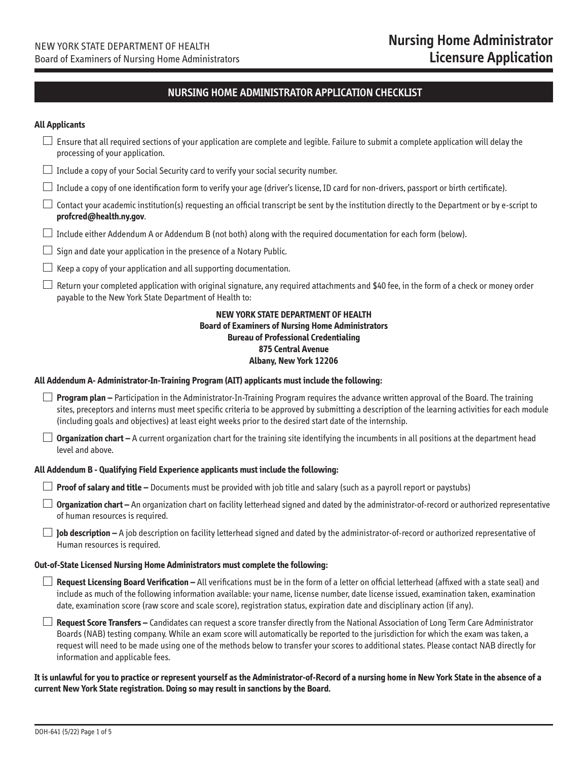### **NURSING HOME ADMINISTRATOR APPLICATION CHECKLIST**

### **All Applicants**

| Ensure that all required sections of your application are complete and legible. Failure to submit a complete application will delay the<br>processing of your application.                                                                                                                                                                                                                                                                                        |  |  |  |  |  |
|-------------------------------------------------------------------------------------------------------------------------------------------------------------------------------------------------------------------------------------------------------------------------------------------------------------------------------------------------------------------------------------------------------------------------------------------------------------------|--|--|--|--|--|
| Include a copy of your Social Security card to verify your social security number.                                                                                                                                                                                                                                                                                                                                                                                |  |  |  |  |  |
| Include a copy of one identification form to verify your age (driver's license, ID card for non-drivers, passport or birth certificate).                                                                                                                                                                                                                                                                                                                          |  |  |  |  |  |
| Contact your academic institution(s) requesting an official transcript be sent by the institution directly to the Department or by e-script to<br>profcred@health.ny.gov.                                                                                                                                                                                                                                                                                         |  |  |  |  |  |
| Include either Addendum A or Addendum B (not both) along with the required documentation for each form (below).                                                                                                                                                                                                                                                                                                                                                   |  |  |  |  |  |
| Sign and date your application in the presence of a Notary Public.                                                                                                                                                                                                                                                                                                                                                                                                |  |  |  |  |  |
| Keep a copy of your application and all supporting documentation.                                                                                                                                                                                                                                                                                                                                                                                                 |  |  |  |  |  |
| Return your completed application with original signature, any required attachments and \$40 fee, in the form of a check or money order<br>payable to the New York State Department of Health to:                                                                                                                                                                                                                                                                 |  |  |  |  |  |
| <b>NEW YORK STATE DEPARTMENT OF HEALTH</b><br><b>Board of Examiners of Nursing Home Administrators</b><br><b>Bureau of Professional Credentialing</b><br><b>875 Central Avenue</b><br>Albany, New York 12206                                                                                                                                                                                                                                                      |  |  |  |  |  |
| All Addendum A- Administrator-In-Training Program (AIT) applicants must include the following:                                                                                                                                                                                                                                                                                                                                                                    |  |  |  |  |  |
| $\Box$ Program plan – Participation in the Administrator-In-Training Program requires the advance written approval of the Board. The training<br>sites, preceptors and interns must meet specific criteria to be approved by submitting a description of the learning activities for each module<br>(including goals and objectives) at least eight weeks prior to the desired start date of the internship.                                                      |  |  |  |  |  |
| Organization chart - A current organization chart for the training site identifying the incumbents in all positions at the department head<br>level and above.                                                                                                                                                                                                                                                                                                    |  |  |  |  |  |
| All Addendum B - Qualifying Field Experience applicants must include the following:                                                                                                                                                                                                                                                                                                                                                                               |  |  |  |  |  |
| Proof of salary and title - Documents must be provided with job title and salary (such as a payroll report or paystubs)                                                                                                                                                                                                                                                                                                                                           |  |  |  |  |  |
| Organization chart - An organization chart on facility letterhead signed and dated by the administrator-of-record or authorized representative<br>of human resources is required.                                                                                                                                                                                                                                                                                 |  |  |  |  |  |
| Job description - A job description on facility letterhead signed and dated by the administrator-of-record or authorized representative of<br>Human resources is required.                                                                                                                                                                                                                                                                                        |  |  |  |  |  |
| Out-of-State Licensed Nursing Home Administrators must complete the following:                                                                                                                                                                                                                                                                                                                                                                                    |  |  |  |  |  |
| Request Licensing Board Verification - All verifications must be in the form of a letter on official letterhead (affixed with a state seal) and<br>include as much of the following information available: your name, license number, date license issued, examination taken, examination<br>date, examination score (raw score and scale score), registration status, expiration date and disciplinary action (if any).                                          |  |  |  |  |  |
| Request Score Transfers - Candidates can request a score transfer directly from the National Association of Long Term Care Administrator<br>Boards (NAB) testing company. While an exam score will automatically be reported to the jurisdiction for which the exam was taken, a<br>request will need to be made using one of the methods below to transfer your scores to additional states. Please contact NAB directly for<br>information and applicable fees. |  |  |  |  |  |

### **It is unlawful for you to practice or represent yourself as the Administrator-of-Record of a nursing home in New York State in the absence of a current New York State registration. Doing so may result in sanctions by the Board.**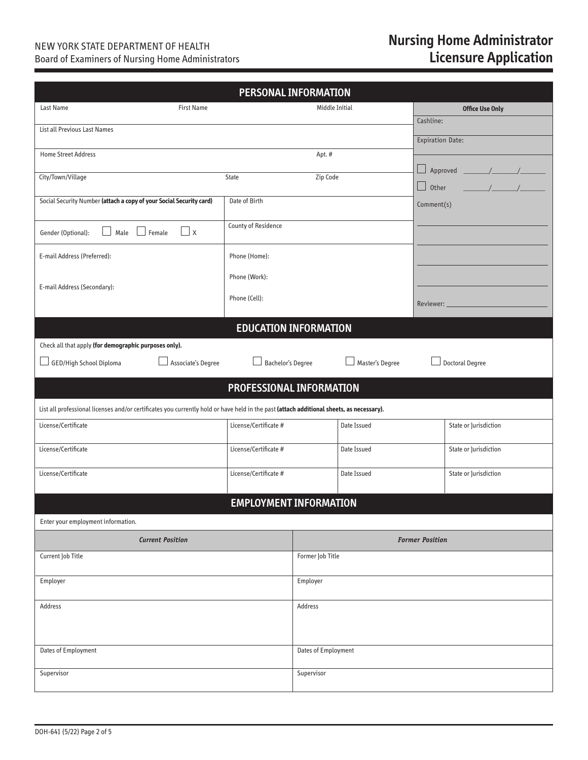### NEW YORK STATE DEPARTMENT OF HEALTH Board of Examiners of Nursing Home Administrators

## **Nursing Home Administrator Licensure Application**

| <b>PERSONAL INFORMATION</b>                                                                                                              |                               |                     |                 |                        |                                                                              |  |
|------------------------------------------------------------------------------------------------------------------------------------------|-------------------------------|---------------------|-----------------|------------------------|------------------------------------------------------------------------------|--|
| Last Name<br><b>First Name</b>                                                                                                           |                               | Middle Initial      |                 |                        | <b>Office Use Only</b>                                                       |  |
| List all Previous Last Names                                                                                                             |                               |                     | Cashline:       |                        |                                                                              |  |
|                                                                                                                                          |                               |                     |                 | Expiration Date:       |                                                                              |  |
| <b>Home Street Address</b>                                                                                                               |                               | Apt.#               |                 |                        |                                                                              |  |
| City/Town/Village                                                                                                                        | State                         | Zip Code            |                 |                        | $\frac{1}{\sqrt{1-\frac{1}{2}}}\left( \frac{1}{\sqrt{1-\frac{1}{2}}}\right)$ |  |
| Social Security Number (attach a copy of your Social Security card)                                                                      | Date of Birth                 |                     |                 | Other                  |                                                                              |  |
|                                                                                                                                          |                               |                     |                 | Comment(s)             |                                                                              |  |
| $\Box$ x<br>Male $\Box$ Female<br>Gender (Optional):                                                                                     | <b>County of Residence</b>    |                     |                 |                        |                                                                              |  |
| E-mail Address (Preferred):                                                                                                              | Phone (Home):                 |                     |                 |                        |                                                                              |  |
|                                                                                                                                          | Phone (Work):                 |                     |                 |                        |                                                                              |  |
| E-mail Address (Secondary):                                                                                                              | Phone (Cell):                 |                     |                 |                        |                                                                              |  |
|                                                                                                                                          |                               |                     |                 |                        | Reviewer: _______________                                                    |  |
|                                                                                                                                          | <b>EDUCATION INFORMATION</b>  |                     |                 |                        |                                                                              |  |
| Check all that apply (for demographic purposes only).                                                                                    |                               |                     |                 |                        |                                                                              |  |
| Associate's Degree<br>GED/High School Diploma                                                                                            | $\perp$ Bachelor's Degree     |                     | Master's Degree |                        | <b>Doctoral Degree</b>                                                       |  |
|                                                                                                                                          | PROFESSIONAL INFORMATION      |                     |                 |                        |                                                                              |  |
| List all professional licenses and/or certificates you currently hold or have held in the past (attach additional sheets, as necessary). |                               |                     |                 |                        |                                                                              |  |
| License/Certificate                                                                                                                      | License/Certificate #         |                     | Date Issued     |                        | State or Jurisdiction                                                        |  |
| License/Certificate                                                                                                                      | License/Certificate #         |                     | Date Issued     |                        | State or Jurisdiction                                                        |  |
| License/Certificate                                                                                                                      | License/Certificate #         |                     | Date Issued     |                        | State or Jurisdiction                                                        |  |
|                                                                                                                                          | <b>EMPLOYMENT INFORMATION</b> |                     |                 |                        |                                                                              |  |
| Enter your employment information.                                                                                                       |                               |                     |                 |                        |                                                                              |  |
| <b>Current Position</b>                                                                                                                  |                               |                     |                 | <b>Former Position</b> |                                                                              |  |
| Current Job Title                                                                                                                        |                               | Former Job Title    |                 |                        |                                                                              |  |
|                                                                                                                                          |                               |                     |                 |                        |                                                                              |  |
| Employer                                                                                                                                 |                               |                     | Employer        |                        |                                                                              |  |
| Address                                                                                                                                  |                               | Address             |                 |                        |                                                                              |  |
|                                                                                                                                          |                               |                     |                 |                        |                                                                              |  |
| Dates of Employment                                                                                                                      |                               | Dates of Employment |                 |                        |                                                                              |  |
| Supervisor                                                                                                                               |                               | Supervisor          |                 |                        |                                                                              |  |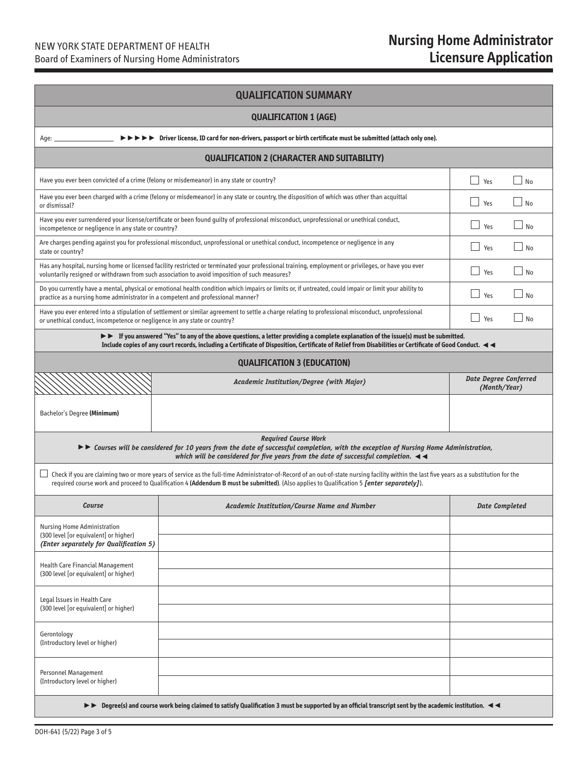| <b>QUALIFICATION SUMMARY</b>                                                                                                                                                                                                                                                                                                                       |                                                                                                                                                                                                                                                                                                                            |                                              |  |  |  |
|----------------------------------------------------------------------------------------------------------------------------------------------------------------------------------------------------------------------------------------------------------------------------------------------------------------------------------------------------|----------------------------------------------------------------------------------------------------------------------------------------------------------------------------------------------------------------------------------------------------------------------------------------------------------------------------|----------------------------------------------|--|--|--|
| <b>QUALIFICATION 1 (AGE)</b>                                                                                                                                                                                                                                                                                                                       |                                                                                                                                                                                                                                                                                                                            |                                              |  |  |  |
| Age: .                                                                                                                                                                                                                                                                                                                                             | $\triangleright \triangleright \triangleright \triangleright$ Driver license, ID card for non-drivers, passport or birth certificate must be submitted (attach only one).                                                                                                                                                  |                                              |  |  |  |
|                                                                                                                                                                                                                                                                                                                                                    | <b>QUALIFICATION 2 (CHARACTER AND SUITABILITY)</b>                                                                                                                                                                                                                                                                         |                                              |  |  |  |
| Have you ever been convicted of a crime (felony or misdemeanor) in any state or country?                                                                                                                                                                                                                                                           | <b>Contract</b><br>Yes<br>$\overline{\phantom{a}}$ No                                                                                                                                                                                                                                                                      |                                              |  |  |  |
| Have you ever been charged with a crime (felony or misdemeanor) in any state or country, the disposition of which was other than acquittal<br>or dismissal?                                                                                                                                                                                        | Yes<br><b>No</b>                                                                                                                                                                                                                                                                                                           |                                              |  |  |  |
| Have you ever surrendered your license/certificate or been found guilty of professional misconduct, unprofessional or unethical conduct,<br>incompetence or negligence in any state or country?                                                                                                                                                    | No<br>Yes                                                                                                                                                                                                                                                                                                                  |                                              |  |  |  |
| state or country?                                                                                                                                                                                                                                                                                                                                  | Are charges pending against you for professional misconduct, unprofessional or unethical conduct, incompetence or negligence in any                                                                                                                                                                                        | $\sim$<br>Yes<br>No                          |  |  |  |
|                                                                                                                                                                                                                                                                                                                                                    | Has any hospital, nursing home or licensed facility restricted or terminated your professional training, employment or privileges, or have you ever<br>voluntarily resigned or withdrawn from such association to avoid imposition of such measures?                                                                       | Yes<br>No                                    |  |  |  |
| practice as a nursing home administrator in a competent and professional manner?                                                                                                                                                                                                                                                                   | Do you currently have a mental, physical or emotional health condition which impairs or limits or, if untreated, could impair or limit your ability to                                                                                                                                                                     | Yes<br>No                                    |  |  |  |
| or unethical conduct, incompetence or negligence in any state or country?                                                                                                                                                                                                                                                                          | Have you ever entered into a stipulation of settlement or similar agreement to settle a charge relating to professional misconduct, unprofessional                                                                                                                                                                         | Yes<br>No                                    |  |  |  |
|                                                                                                                                                                                                                                                                                                                                                    | $\triangleright\triangleright$ If you answered "Yes" to any of the above questions, a letter providing a complete explanation of the issue(s) must be submitted.<br>Include copies of any court records, including a Certificate of Disposition, Certificate of Relief from Disabilities or Certificate of Good Conduct. < |                                              |  |  |  |
|                                                                                                                                                                                                                                                                                                                                                    | <b>QUALIFICATION 3 (EDUCATION)</b>                                                                                                                                                                                                                                                                                         |                                              |  |  |  |
|                                                                                                                                                                                                                                                                                                                                                    | Academic Institution/Degree (with Major)                                                                                                                                                                                                                                                                                   | <b>Date Degree Conferred</b><br>(Month/Year) |  |  |  |
| Bachelor's Degree (Minimum)                                                                                                                                                                                                                                                                                                                        |                                                                                                                                                                                                                                                                                                                            |                                              |  |  |  |
| <b>Required Course Work</b><br>$\blacktriangleright$ Courses will be considered for 10 years from the date of successful completion, with the exception of Nursing Home Administration,<br>which will be considered for five years from the date of successful completion. $\blacktriangleleft$                                                    |                                                                                                                                                                                                                                                                                                                            |                                              |  |  |  |
| Check if you are claiming two or more years of service as the full-time Administrator-of-Record of an out-of-state nursing facility within the last five years as a substitution for the<br>⊔<br>required course work and proceed to Qualification 4 (Addendum B must be submitted). (Also applies to Qualification 5 <i>[enter separately]</i> ). |                                                                                                                                                                                                                                                                                                                            |                                              |  |  |  |
| Course                                                                                                                                                                                                                                                                                                                                             | Academic Institution/Course Name and Number                                                                                                                                                                                                                                                                                | <b>Date Completed</b>                        |  |  |  |
| <b>Nursing Home Administration</b><br>(300 level for equivalent) or higher)                                                                                                                                                                                                                                                                        |                                                                                                                                                                                                                                                                                                                            |                                              |  |  |  |
| (Enter separately for Qualification 5)                                                                                                                                                                                                                                                                                                             |                                                                                                                                                                                                                                                                                                                            |                                              |  |  |  |
| <b>Health Care Financial Management</b><br>(300 level for equivalent) or higher)                                                                                                                                                                                                                                                                   |                                                                                                                                                                                                                                                                                                                            |                                              |  |  |  |
| Legal Issues in Health Care                                                                                                                                                                                                                                                                                                                        |                                                                                                                                                                                                                                                                                                                            |                                              |  |  |  |
| (300 level [or equivalent] or higher)                                                                                                                                                                                                                                                                                                              |                                                                                                                                                                                                                                                                                                                            |                                              |  |  |  |
| Gerontology<br>(Introductory level or higher)                                                                                                                                                                                                                                                                                                      |                                                                                                                                                                                                                                                                                                                            |                                              |  |  |  |
|                                                                                                                                                                                                                                                                                                                                                    |                                                                                                                                                                                                                                                                                                                            |                                              |  |  |  |
| Personnel Management<br>(Introductory level or higher)                                                                                                                                                                                                                                                                                             |                                                                                                                                                                                                                                                                                                                            |                                              |  |  |  |
| $\triangleright$ $\triangleright$ Degree(s) and course work being claimed to satisfy Qualification 3 must be supported by an official transcript sent by the academic institution. $\blacktriangleleft$                                                                                                                                            |                                                                                                                                                                                                                                                                                                                            |                                              |  |  |  |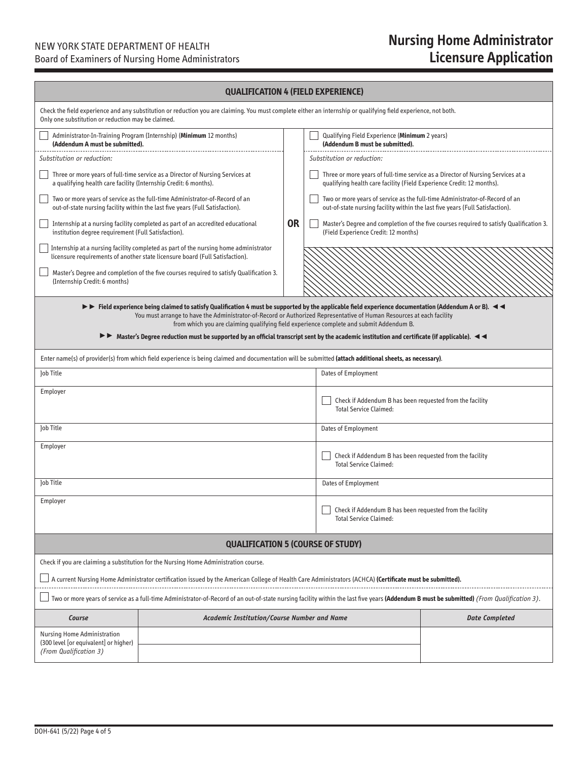## NEW YORK STATE DEPARTMENT OF HEALTH

Board of Examiners of Nursing Home Administrators

# **Nursing Home Administrator Licensure Application**

### **QUALIFICATION 4 (FIELD EXPERIENCE)**

| Only one substitution or reduction may be claimed.                                                                                                                                                                                                                                                                                                                                                                                                                                                                   | Check the field experience and any substitution or reduction you are claiming. You must complete either an internship or qualifying field experience, not both.      |    |                                                                                  |                                                                                         |  |  |
|----------------------------------------------------------------------------------------------------------------------------------------------------------------------------------------------------------------------------------------------------------------------------------------------------------------------------------------------------------------------------------------------------------------------------------------------------------------------------------------------------------------------|----------------------------------------------------------------------------------------------------------------------------------------------------------------------|----|----------------------------------------------------------------------------------|-----------------------------------------------------------------------------------------|--|--|
| (Addendum A must be submitted).                                                                                                                                                                                                                                                                                                                                                                                                                                                                                      | Administrator-In-Training Program (Internship) (Minimum 12 months)                                                                                                   |    | Qualifying Field Experience (Minimum 2 years)<br>(Addendum B must be submitted). |                                                                                         |  |  |
| Substitution or reduction:                                                                                                                                                                                                                                                                                                                                                                                                                                                                                           |                                                                                                                                                                      |    | Substitution or reduction:                                                       |                                                                                         |  |  |
| a qualifying health care facility (Internship Credit: 6 months).                                                                                                                                                                                                                                                                                                                                                                                                                                                     | Three or more years of full-time service as a Director of Nursing Services at                                                                                        |    | qualifying health care facility (Field Experience Credit: 12 months).            | Three or more years of full-time service as a Director of Nursing Services at a         |  |  |
|                                                                                                                                                                                                                                                                                                                                                                                                                                                                                                                      | Two or more years of service as the full-time Administrator-of-Record of an<br>out-of-state nursing facility within the last five years (Full Satisfaction).         |    | out-of-state nursing facility within the last five years (Full Satisfaction).    | Two or more years of service as the full-time Administrator-of-Record of an             |  |  |
| institution degree requirement (Full Satisfaction).                                                                                                                                                                                                                                                                                                                                                                                                                                                                  | Internship at a nursing facility completed as part of an accredited educational                                                                                      | 0R | (Field Experience Credit: 12 months)                                             | Master's Degree and completion of the five courses required to satisfy Qualification 3. |  |  |
|                                                                                                                                                                                                                                                                                                                                                                                                                                                                                                                      | Internship at a nursing facility completed as part of the nursing home administrator<br>licensure requirements of another state licensure board (Full Satisfaction). |    |                                                                                  |                                                                                         |  |  |
| (Internship Credit: 6 months)                                                                                                                                                                                                                                                                                                                                                                                                                                                                                        | Master's Degree and completion of the five courses required to satisfy Qualification 3.                                                                              |    |                                                                                  |                                                                                         |  |  |
| > Field experience being claimed to satisfy Qualification 4 must be supported by the applicable field experience documentation (Addendum A or B). <<br>You must arrange to have the Administrator-of-Record or Authorized Representative of Human Resources at each facility<br>from which you are claiming qualifying field experience complete and submit Addendum B.<br>Master's Degree reduction must be supported by an official transcript sent by the academic institution and certificate (if applicable). < |                                                                                                                                                                      |    |                                                                                  |                                                                                         |  |  |
|                                                                                                                                                                                                                                                                                                                                                                                                                                                                                                                      | Enter name(s) of provider(s) from which field experience is being claimed and documentation will be submitted (attach additional sheets, as necessary).              |    |                                                                                  |                                                                                         |  |  |
| Job Title                                                                                                                                                                                                                                                                                                                                                                                                                                                                                                            | Dates of Employment                                                                                                                                                  |    |                                                                                  |                                                                                         |  |  |
| Employer<br>Check if Addendum B has been requested from the facility<br><b>Total Service Claimed:</b>                                                                                                                                                                                                                                                                                                                                                                                                                |                                                                                                                                                                      |    |                                                                                  |                                                                                         |  |  |
| Job Title                                                                                                                                                                                                                                                                                                                                                                                                                                                                                                            | Dates of Employment                                                                                                                                                  |    |                                                                                  |                                                                                         |  |  |
| Employer<br>Check if Addendum B has been requested from the facility<br><b>Total Service Claimed:</b>                                                                                                                                                                                                                                                                                                                                                                                                                |                                                                                                                                                                      |    |                                                                                  |                                                                                         |  |  |
| lob Title                                                                                                                                                                                                                                                                                                                                                                                                                                                                                                            |                                                                                                                                                                      |    | Dates of Employment                                                              |                                                                                         |  |  |
| Employer<br>Check if Addendum B has been requested from the facility<br><b>Total Service Claimed:</b>                                                                                                                                                                                                                                                                                                                                                                                                                |                                                                                                                                                                      |    |                                                                                  |                                                                                         |  |  |
| <b>QUALIFICATION 5 (COURSE OF STUDY)</b>                                                                                                                                                                                                                                                                                                                                                                                                                                                                             |                                                                                                                                                                      |    |                                                                                  |                                                                                         |  |  |
|                                                                                                                                                                                                                                                                                                                                                                                                                                                                                                                      | Check if you are claiming a substitution for the Nursing Home Administration course.                                                                                 |    |                                                                                  |                                                                                         |  |  |
| A current Nursing Home Administrator certification issued by the American College of Health Care Administrators (ACHCA) (Certificate must be submitted).                                                                                                                                                                                                                                                                                                                                                             |                                                                                                                                                                      |    |                                                                                  |                                                                                         |  |  |
| Two or more years of service as a full-time Administrator-of-Record of an out-of-state nursing facility within the last five years (Addendum B must be submitted) (From Qualification 3).                                                                                                                                                                                                                                                                                                                            |                                                                                                                                                                      |    |                                                                                  |                                                                                         |  |  |
| Course                                                                                                                                                                                                                                                                                                                                                                                                                                                                                                               | Academic Institution/Course Number and Name                                                                                                                          |    |                                                                                  | <b>Date Completed</b>                                                                   |  |  |
| <b>Nursing Home Administration</b>                                                                                                                                                                                                                                                                                                                                                                                                                                                                                   |                                                                                                                                                                      |    |                                                                                  |                                                                                         |  |  |
| (300 level [or equivalent] or higher)<br>(From Qualification 3)                                                                                                                                                                                                                                                                                                                                                                                                                                                      |                                                                                                                                                                      |    |                                                                                  |                                                                                         |  |  |